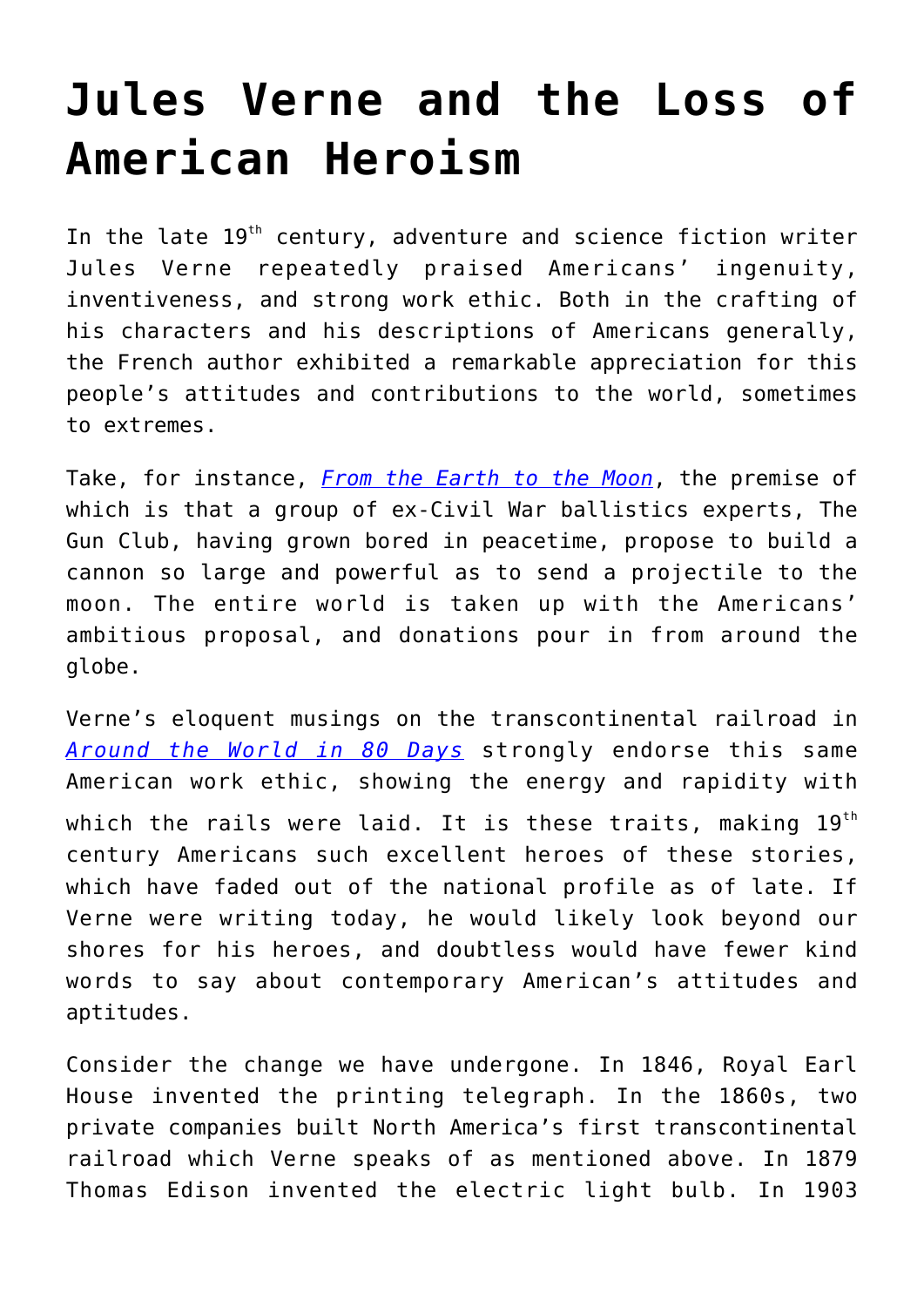## **[Jules Verne and the Loss of](https://intellectualtakeout.org/2021/07/jules-verne-and-the-loss-of-american-heroism/) [American Heroism](https://intellectualtakeout.org/2021/07/jules-verne-and-the-loss-of-american-heroism/)**

In the late 19<sup>th</sup> century, adventure and science fiction writer Jules Verne repeatedly praised Americans' ingenuity, inventiveness, and strong work ethic. Both in the crafting of his characters and his descriptions of Americans generally, the French author exhibited a remarkable appreciation for this people's attitudes and contributions to the world, sometimes to extremes.

Take, for instance, *[From the Earth to the Moon](https://www.amazon.com/gp/product/1949460827/ref=as_li_qf_asin_il_tl?ie=UTF8&tag=intelltakeo0d-20&creative=9325&linkCode=as2&creativeASIN=1949460827&linkId=5778e7394f41c8273a0936358f49fb0a)*, the premise of which is that a group of ex-Civil War ballistics experts, The Gun Club, having grown bored in peacetime, propose to build a cannon so large and powerful as to send a projectile to the moon. The entire world is taken up with the Americans' ambitious proposal, and donations pour in from around the globe.

Verne's eloquent musings on the transcontinental railroad in *[Around the World in 80 Days](https://www.amazon.com/gp/product/B09328FD5F/ref=as_li_qf_asin_il_tl?ie=UTF8&tag=intelltakeo0d-20&creative=9325&linkCode=as2&creativeASIN=B09328FD5F&linkId=75deb2451f4738cfc5007908e0f440f3)* strongly endorse this same American work ethic, showing the energy and rapidity with which the rails were laid. It is these traits, making  $19<sup>th</sup>$ century Americans such excellent heroes of these stories, which have faded out of the national profile as of late. If Verne were writing today, he would likely look beyond our shores for his heroes, and doubtless would have fewer kind words to say about contemporary American's attitudes and aptitudes.

Consider the change we have undergone. In 1846, Royal Earl House invented the printing telegraph. In the 1860s, two private companies built North America's first transcontinental railroad which Verne speaks of as mentioned above. In 1879 Thomas Edison invented the electric light bulb. In 1903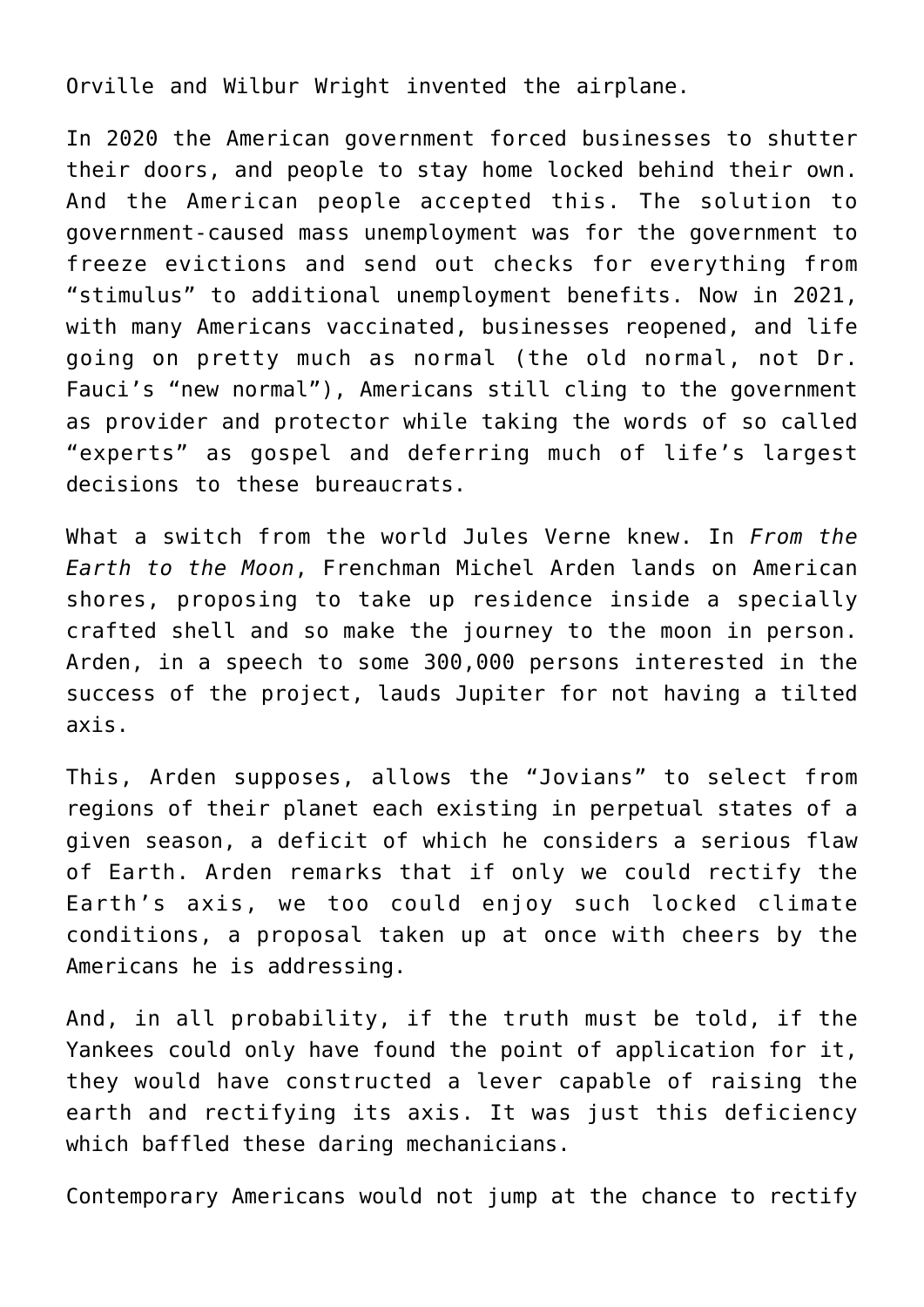Orville and Wilbur Wright invented the airplane.

In 2020 the American government forced businesses to shutter their doors, and people to stay home locked behind their own. And the American people accepted this. The solution to government-caused mass unemployment was for the government to freeze evictions and send out checks for everything from "stimulus" to additional unemployment benefits. Now in 2021, with many Americans vaccinated, businesses reopened, and life going on pretty much as normal (the old normal, not Dr. Fauci's "new normal"), Americans still cling to the government as provider and protector while taking the words of so called "experts" as gospel and deferring much of life's largest decisions to these bureaucrats.

What a switch from the world Jules Verne knew. In *From the Earth to the Moon*, Frenchman Michel Arden lands on American shores, proposing to take up residence inside a specially crafted shell and so make the journey to the moon in person. Arden, in a speech to some 300,000 persons interested in the success of the project, lauds Jupiter for not having a tilted axis.

This, Arden supposes, allows the "Jovians" to select from regions of their planet each existing in perpetual states of a given season, a deficit of which he considers a serious flaw of Earth. Arden remarks that if only we could rectify the Earth's axis, we too could enjoy such locked climate conditions, a proposal taken up at once with cheers by the Americans he is addressing.

And, in all probability, if the truth must be told, if the Yankees could only have found the point of application for it, they would have constructed a lever capable of raising the earth and rectifying its axis. It was just this deficiency which baffled these daring mechanicians.

Contemporary Americans would not jump at the chance to rectify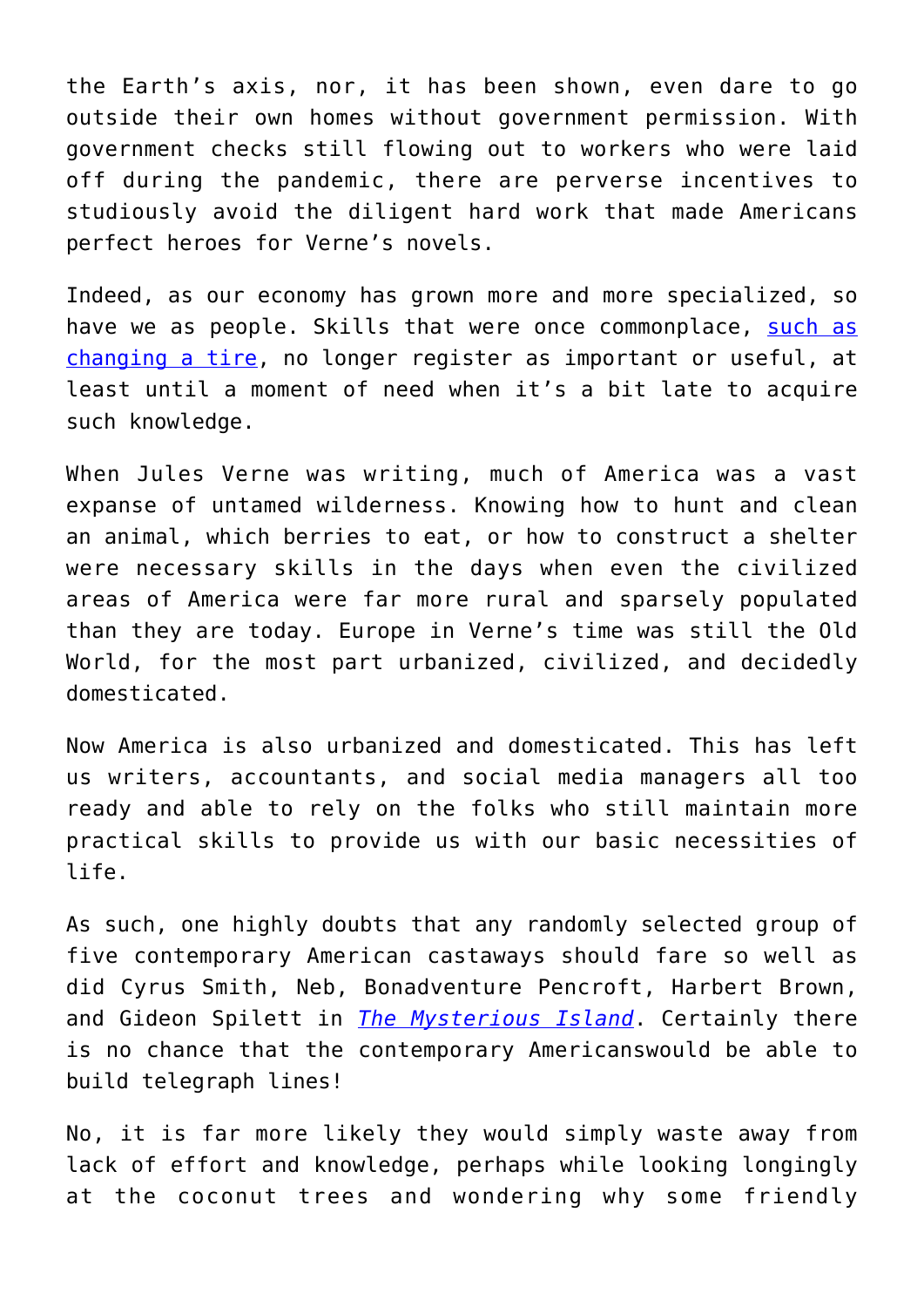the Earth's axis, nor, it has been shown, even dare to go outside their own homes without government permission. With government checks still flowing out to workers who were laid off during the pandemic, there are perverse incentives to studiously avoid the diligent hard work that made Americans perfect heroes for Verne's novels.

Indeed, as our economy has grown more and more specialized, so have we as people. Skills that were once commonplace, [such as](https://www.intellectualtakeout.org/americas-fatherless-ache-exposed-by-humble-youtube-dad/) [changing a tire,](https://www.intellectualtakeout.org/americas-fatherless-ache-exposed-by-humble-youtube-dad/) no longer register as important or useful, at least until a moment of need when it's a bit late to acquire such knowledge.

When Jules Verne was writing, much of America was a vast expanse of untamed wilderness. Knowing how to hunt and clean an animal, which berries to eat, or how to construct a shelter were necessary skills in the days when even the civilized areas of America were far more rural and sparsely populated than they are today. Europe in Verne's time was still the Old World, for the most part urbanized, civilized, and decidedly domesticated.

Now America is also urbanized and domesticated. This has left us writers, accountants, and social media managers all too ready and able to rely on the folks who still maintain more practical skills to provide us with our basic necessities of life.

As such, one highly doubts that any randomly selected group of five contemporary American castaways should fare so well as did Cyrus Smith, Neb, Bonadventure Pencroft, Harbert Brown, and Gideon Spilett in *[The Mysterious Island](https://www.amazon.com/gp/product/194946086X/ref=as_li_qf_asin_il_tl?ie=UTF8&tag=intelltakeo0d-20&creative=9325&linkCode=as2&creativeASIN=194946086X&linkId=2284728d866ae1de59a81126a7abee8b)*. Certainly there is no chance that the contemporary Americanswould be able to build telegraph lines!

No, it is far more likely they would simply waste away from lack of effort and knowledge, perhaps while looking longingly at the coconut trees and wondering why some friendly